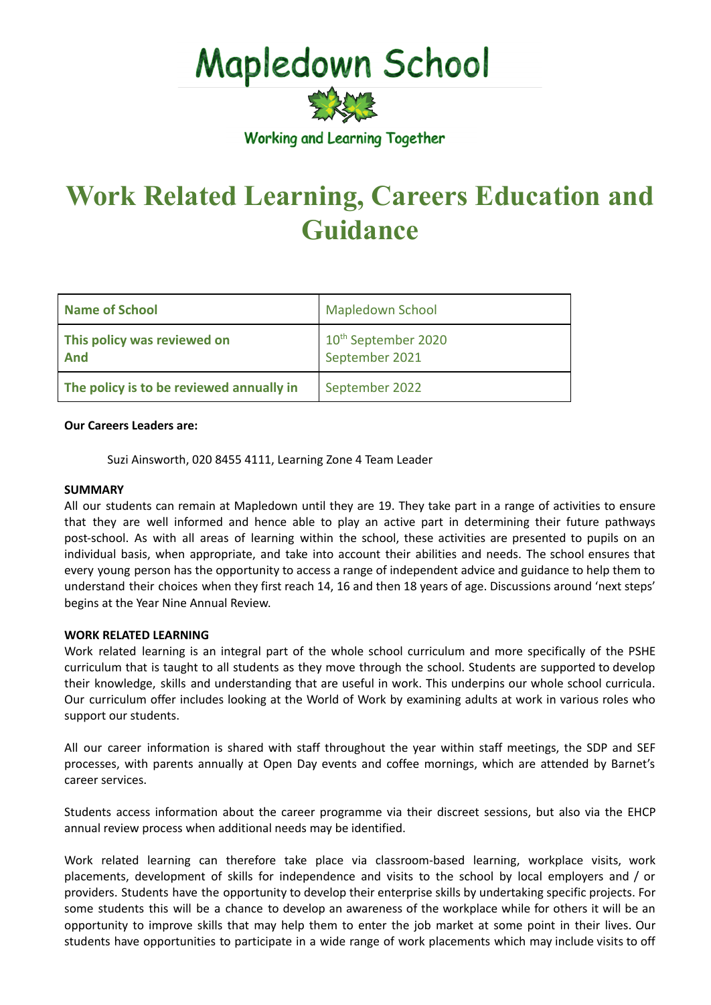# **Mapledown School**



## **Work Related Learning, Careers Education and Guidance**

| <b>Name of School</b>                     | Mapledown School                                  |
|-------------------------------------------|---------------------------------------------------|
| This policy was reviewed on<br><b>And</b> | 10 <sup>th</sup> September 2020<br>September 2021 |
| The policy is to be reviewed annually in  | September 2022                                    |

#### **Our Careers Leaders are:**

Suzi Ainsworth, 020 8455 4111, Learning Zone 4 Team Leader

#### **SUMMARY**

All our students can remain at Mapledown until they are 19. They take part in a range of activities to ensure that they are well informed and hence able to play an active part in determining their future pathways post-school. As with all areas of learning within the school, these activities are presented to pupils on an individual basis, when appropriate, and take into account their abilities and needs. The school ensures that every young person has the opportunity to access a range of independent advice and guidance to help them to understand their choices when they first reach 14, 16 and then 18 years of age. Discussions around 'next steps' begins at the Year Nine Annual Review.

#### **WORK RELATED LEARNING**

Work related learning is an integral part of the whole school curriculum and more specifically of the PSHE curriculum that is taught to all students as they move through the school. Students are supported to develop their knowledge, skills and understanding that are useful in work. This underpins our whole school curricula. Our curriculum offer includes looking at the World of Work by examining adults at work in various roles who support our students.

All our career information is shared with staff throughout the year within staff meetings, the SDP and SEF processes, with parents annually at Open Day events and coffee mornings, which are attended by Barnet's career services.

Students access information about the career programme via their discreet sessions, but also via the EHCP annual review process when additional needs may be identified.

Work related learning can therefore take place via classroom-based learning, workplace visits, work placements, development of skills for independence and visits to the school by local employers and / or providers. Students have the opportunity to develop their enterprise skills by undertaking specific projects. For some students this will be a chance to develop an awareness of the workplace while for others it will be an opportunity to improve skills that may help them to enter the job market at some point in their lives. Our students have opportunities to participate in a wide range of work placements which may include visits to off